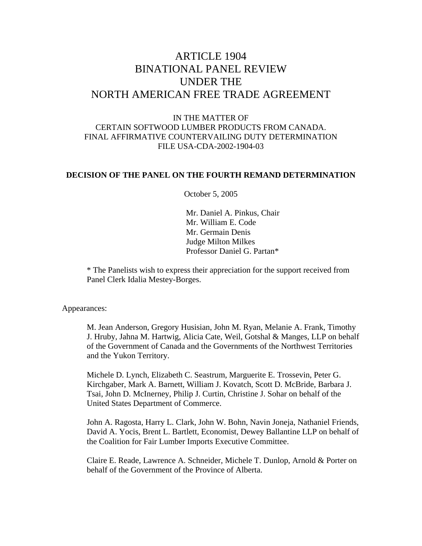# ARTICLE 1904 BINATIONAL PANEL REVIEW UNDER THE NORTH AMERICAN FREE TRADE AGREEMENT

# IN THE MATTER OF CERTAIN SOFTWOOD LUMBER PRODUCTS FROM CANADA. FINAL AFFIRMATIVE COUNTERVAILING DUTY DETERMINATION FILE USA-CDA-2002-1904-03

#### **DECISION OF THE PANEL ON THE FOURTH REMAND DETERMINATION**

October 5, 2005

Mr. Daniel A. Pinkus, Chair Mr. William E. Code Mr. Germain Denis Judge Milton Milkes Professor Daniel G. Partan\*

\* The Panelists wish to express their appreciation for the support received from Panel Clerk Idalia Mestey-Borges.

Appearances:

M. Jean Anderson, Gregory Husisian, John M. Ryan, Melanie A. Frank, Timothy J. Hruby, Jahna M. Hartwig, Alicia Cate, Weil, Gotshal & Manges, LLP on behalf of the Government of Canada and the Governments of the Northwest Territories and the Yukon Territory.

Michele D. Lynch, Elizabeth C. Seastrum, Marguerite E. Trossevin, Peter G. Kirchgaber, Mark A. Barnett, William J. Kovatch, Scott D. McBride, Barbara J. Tsai, John D. McInerney, Philip J. Curtin, Christine J. Sohar on behalf of the United States Department of Commerce.

John A. Ragosta, Harry L. Clark, John W. Bohn, Navin Joneja, Nathaniel Friends, David A. Yocis, Brent L. Bartlett, Economist, Dewey Ballantine LLP on behalf of the Coalition for Fair Lumber Imports Executive Committee.

Claire E. Reade, Lawrence A. Schneider, Michele T. Dunlop, Arnold & Porter on behalf of the Government of the Province of Alberta.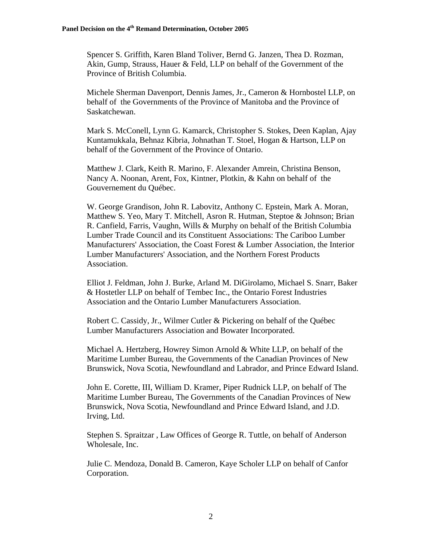Spencer S. Griffith, Karen Bland Toliver, Bernd G. Janzen, Thea D. Rozman, Akin, Gump, Strauss, Hauer & Feld, LLP on behalf of the Government of the Province of British Columbia.

Michele Sherman Davenport, Dennis James, Jr., Cameron & Hornbostel LLP, on behalf of the Governments of the Province of Manitoba and the Province of Saskatchewan.

Mark S. McConell, Lynn G. Kamarck, Christopher S. Stokes, Deen Kaplan, Ajay Kuntamukkala, Behnaz Kibria, Johnathan T. Stoel, Hogan & Hartson, LLP on behalf of the Government of the Province of Ontario.

Matthew J. Clark, Keith R. Marino, F. Alexander Amrein, Christina Benson, Nancy A. Noonan, Arent, Fox, Kintner, Plotkin, & Kahn on behalf of the Gouvernement du Québec.

W. George Grandison, John R. Labovitz, Anthony C. Epstein, Mark A. Moran, Matthew S. Yeo, Mary T. Mitchell, Asron R. Hutman, Steptoe & Johnson; Brian R. Canfield, Farris, Vaughn, Wills & Murphy on behalf of the British Columbia Lumber Trade Council and its Constituent Associations: The Cariboo Lumber Manufacturers' Association, the Coast Forest & Lumber Association, the Interior Lumber Manufacturers' Association, and the Northern Forest Products Association.

Elliot J. Feldman, John J. Burke, Arland M. DiGirolamo, Michael S. Snarr, Baker & Hostetler LLP on behalf of Tembec Inc., the Ontario Forest Industries Association and the Ontario Lumber Manufacturers Association.

Robert C. Cassidy, Jr., Wilmer Cutler & Pickering on behalf of the Québec Lumber Manufacturers Association and Bowater Incorporated.

Michael A. Hertzberg, Howrey Simon Arnold & White LLP, on behalf of the Maritime Lumber Bureau, the Governments of the Canadian Provinces of New Brunswick, Nova Scotia, Newfoundland and Labrador, and Prince Edward Island.

John E. Corette, III, William D. Kramer, Piper Rudnick LLP, on behalf of The Maritime Lumber Bureau, The Governments of the Canadian Provinces of New Brunswick, Nova Scotia, Newfoundland and Prince Edward Island, and J.D. Irving, Ltd.

Stephen S. Spraitzar , Law Offices of George R. Tuttle, on behalf of Anderson Wholesale, Inc.

Julie C. Mendoza, Donald B. Cameron, Kaye Scholer LLP on behalf of Canfor Corporation.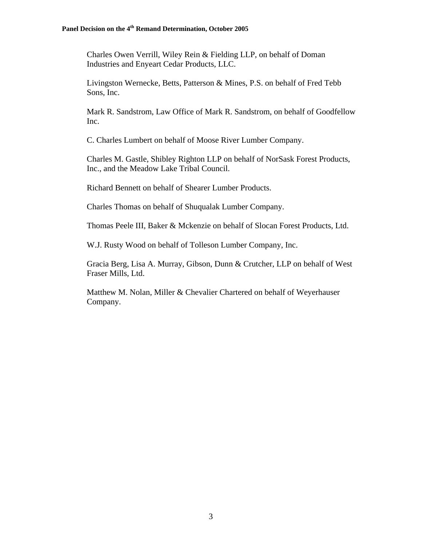Charles Owen Verrill, Wiley Rein & Fielding LLP, on behalf of Doman Industries and Enyeart Cedar Products, LLC.

Livingston Wernecke, Betts, Patterson & Mines, P.S. on behalf of Fred Tebb Sons, Inc.

Mark R. Sandstrom, Law Office of Mark R. Sandstrom, on behalf of Goodfellow Inc.

C. Charles Lumbert on behalf of Moose River Lumber Company.

Charles M. Gastle, Shibley Righton LLP on behalf of NorSask Forest Products, Inc., and the Meadow Lake Tribal Council.

Richard Bennett on behalf of Shearer Lumber Products.

Charles Thomas on behalf of Shuqualak Lumber Company.

Thomas Peele III, Baker & Mckenzie on behalf of Slocan Forest Products, Ltd.

W.J. Rusty Wood on behalf of Tolleson Lumber Company, Inc.

Gracia Berg, Lisa A. Murray, Gibson, Dunn & Crutcher, LLP on behalf of West Fraser Mills, Ltd.

Matthew M. Nolan, Miller & Chevalier Chartered on behalf of Weyerhauser Company.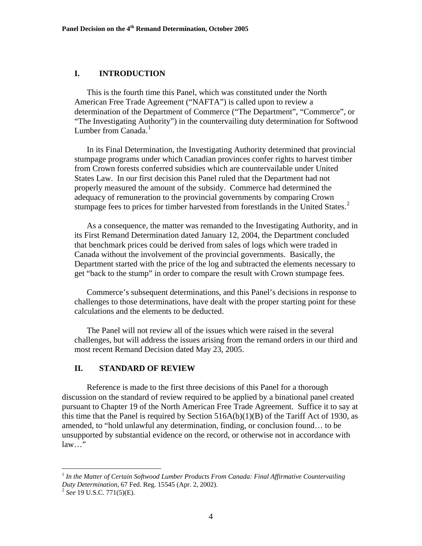#### **I. INTRODUCTION**

This is the fourth time this Panel, which was constituted under the North American Free Trade Agreement ("NAFTA") is called upon to review a determination of the Department of Commerce ("The Department", "Commerce", or "The Investigating Authority") in the countervailing duty determination for Softwood Lumber from Canada.<sup>[1](#page-3-0)</sup>

In its Final Determination, the Investigating Authority determined that provincial stumpage programs under which Canadian provinces confer rights to harvest timber from Crown forests conferred subsidies which are countervailable under United States Law. In our first decision this Panel ruled that the Department had not properly measured the amount of the subsidy. Commerce had determined the adequacy of remuneration to the provincial governments by comparing Crown stumpage fees to prices for timber harvested from forestlands in the United States.<sup>[2](#page-3-1)</sup>

As a consequence, the matter was remanded to the Investigating Authority, and in its First Remand Determination dated January 12, 2004, the Department concluded that benchmark prices could be derived from sales of logs which were traded in Canada without the involvement of the provincial governments. Basically, the Department started with the price of the log and subtracted the elements necessary to get "back to the stump" in order to compare the result with Crown stumpage fees.

Commerce's subsequent determinations, and this Panel's decisions in response to challenges to those determinations, have dealt with the proper starting point for these calculations and the elements to be deducted.

The Panel will not review all of the issues which were raised in the several challenges, but will address the issues arising from the remand orders in our third and most recent Remand Decision dated May 23, 2005.

#### **II. STANDARD OF REVIEW**

 Reference is made to the first three decisions of this Panel for a thorough discussion on the standard of review required to be applied by a binational panel created pursuant to Chapter 19 of the North American Free Trade Agreement. Suffice it to say at this time that the Panel is required by Section  $516A(b)(1)(B)$  of the Tariff Act of 1930, as amended, to "hold unlawful any determination, finding, or conclusion found… to be unsupported by substantial evidence on the record, or otherwise not in accordance with law…"

<span id="page-3-0"></span><sup>&</sup>lt;sup>1</sup> In the Matter of Certain Softwood Lumber Products From Canada: Final Affirmative Countervailing *Duty Determination*, 67 Fed. Reg. 15545 (Apr. 2, 2002).<br><sup>2</sup> *See* 19 U.S.C. 771(5)(E).

<span id="page-3-1"></span>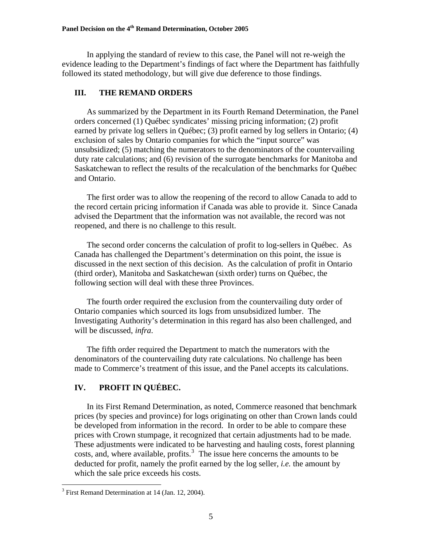In applying the standard of review to this case, the Panel will not re-weigh the evidence leading to the Department's findings of fact where the Department has faithfully followed its stated methodology, but will give due deference to those findings.

# **III. THE REMAND ORDERS**

As summarized by the Department in its Fourth Remand Determination, the Panel orders concerned (1) Québec syndicates' missing pricing information; (2) profit earned by private log sellers in Québec; (3) profit earned by log sellers in Ontario; (4) exclusion of sales by Ontario companies for which the "input source" was unsubsidized; (5) matching the numerators to the denominators of the countervailing duty rate calculations; and (6) revision of the surrogate benchmarks for Manitoba and Saskatchewan to reflect the results of the recalculation of the benchmarks for Québec and Ontario.

The first order was to allow the reopening of the record to allow Canada to add to the record certain pricing information if Canada was able to provide it. Since Canada advised the Department that the information was not available, the record was not reopened, and there is no challenge to this result.

The second order concerns the calculation of profit to log-sellers in Québec. As Canada has challenged the Department's determination on this point, the issue is discussed in the next section of this decision. As the calculation of profit in Ontario (third order), Manitoba and Saskatchewan (sixth order) turns on Québec, the following section will deal with these three Provinces.

The fourth order required the exclusion from the countervailing duty order of Ontario companies which sourced its logs from unsubsidized lumber. The Investigating Authority's determination in this regard has also been challenged, and will be discussed, *infra*.

The fifth order required the Department to match the numerators with the denominators of the countervailing duty rate calculations. No challenge has been made to Commerce's treatment of this issue, and the Panel accepts its calculations.

# **IV. PROFIT IN QUÉBEC.**

In its First Remand Determination, as noted, Commerce reasoned that benchmark prices (by species and province) for logs originating on other than Crown lands could be developed from information in the record. In order to be able to compare these prices with Crown stumpage, it recognized that certain adjustments had to be made. These adjustments were indicated to be harvesting and hauling costs, forest planning costs, and, where available, profits. $3$  The issue here concerns the amounts to be deducted for profit, namely the profit earned by the log seller, *i.e.* the amount by which the sale price exceeds his costs.

<span id="page-4-0"></span><sup>&</sup>lt;sup>3</sup> First Remand Determination at 14 (Jan. 12, 2004).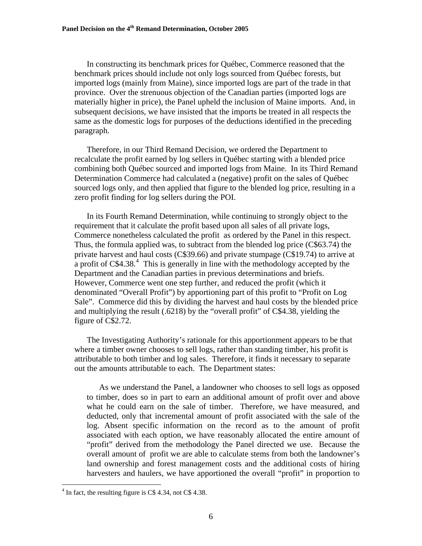In constructing its benchmark prices for Québec, Commerce reasoned that the benchmark prices should include not only logs sourced from Québec forests, but imported logs (mainly from Maine), since imported logs are part of the trade in that province. Over the strenuous objection of the Canadian parties (imported logs are materially higher in price), the Panel upheld the inclusion of Maine imports. And, in subsequent decisions, we have insisted that the imports be treated in all respects the same as the domestic logs for purposes of the deductions identified in the preceding paragraph.

Therefore, in our Third Remand Decision, we ordered the Department to recalculate the profit earned by log sellers in Québec starting with a blended price combining both Québec sourced and imported logs from Maine. In its Third Remand Determination Commerce had calculated a (negative) profit on the sales of Québec sourced logs only, and then applied that figure to the blended log price, resulting in a zero profit finding for log sellers during the POI.

In its Fourth Remand Determination, while continuing to strongly object to the requirement that it calculate the profit based upon all sales of all private logs, Commerce nonetheless calculated the profit as ordered by the Panel in this respect. Thus, the formula applied was, to subtract from the blended log price (C\$63.74) the private harvest and haul costs (C\$39.66) and private stumpage (C\$19.74) to arrive at a profit of  $C$4.38<sup>4</sup>$  $C$4.38<sup>4</sup>$  $C$4.38<sup>4</sup>$ . This is generally in line with the methodology accepted by the Department and the Canadian parties in previous determinations and briefs. However, Commerce went one step further, and reduced the profit (which it denominated "Overall Profit") by apportioning part of this profit to "Profit on Log Sale". Commerce did this by dividing the harvest and haul costs by the blended price and multiplying the result (.6218) by the "overall profit" of C\$4.38, yielding the figure of C\$2.72.

The Investigating Authority's rationale for this apportionment appears to be that where a timber owner chooses to sell logs, rather than standing timber, his profit is attributable to both timber and log sales. Therefore, it finds it necessary to separate out the amounts attributable to each. The Department states:

As we understand the Panel, a landowner who chooses to sell logs as opposed to timber, does so in part to earn an additional amount of profit over and above what he could earn on the sale of timber. Therefore, we have measured, and deducted, only that incremental amount of profit associated with the sale of the log. Absent specific information on the record as to the amount of profit associated with each option, we have reasonably allocated the entire amount of "profit" derived from the methodology the Panel directed we use. Because the overall amount of profit we are able to calculate stems from both the landowner's land ownership and forest management costs and the additional costs of hiring harvesters and haulers, we have apportioned the overall "profit" in proportion to

<span id="page-5-0"></span><sup>&</sup>lt;sup>4</sup> In fact, the resulting figure is C\$ 4.34, not C\$ 4.38.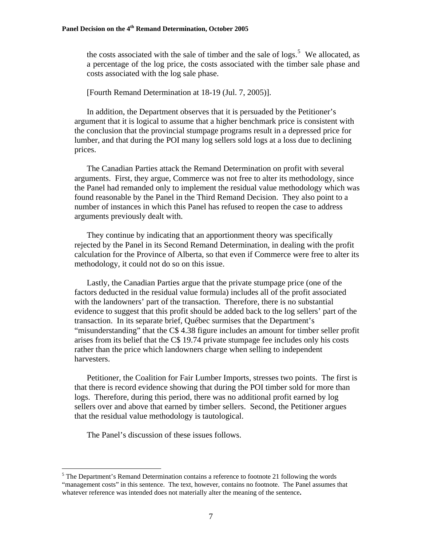the costs associated with the sale of timber and the sale of logs.<sup>[5](#page-6-0)</sup> We allocated, as a percentage of the log price, the costs associated with the timber sale phase and costs associated with the log sale phase.

[Fourth Remand Determination at 18-19 (Jul. 7, 2005)].

In addition, the Department observes that it is persuaded by the Petitioner's argument that it is logical to assume that a higher benchmark price is consistent with the conclusion that the provincial stumpage programs result in a depressed price for lumber, and that during the POI many log sellers sold logs at a loss due to declining prices.

The Canadian Parties attack the Remand Determination on profit with several arguments. First, they argue, Commerce was not free to alter its methodology, since the Panel had remanded only to implement the residual value methodology which was found reasonable by the Panel in the Third Remand Decision. They also point to a number of instances in which this Panel has refused to reopen the case to address arguments previously dealt with.

They continue by indicating that an apportionment theory was specifically rejected by the Panel in its Second Remand Determination, in dealing with the profit calculation for the Province of Alberta, so that even if Commerce were free to alter its methodology, it could not do so on this issue.

Lastly, the Canadian Parties argue that the private stumpage price (one of the factors deducted in the residual value formula) includes all of the profit associated with the landowners' part of the transaction. Therefore, there is no substantial evidence to suggest that this profit should be added back to the log sellers' part of the transaction. In its separate brief, Québec surmises that the Department's "misunderstanding" that the C\$ 4.38 figure includes an amount for timber seller profit arises from its belief that the C\$ 19.74 private stumpage fee includes only his costs rather than the price which landowners charge when selling to independent harvesters.

Petitioner, the Coalition for Fair Lumber Imports, stresses two points. The first is that there is record evidence showing that during the POI timber sold for more than logs. Therefore, during this period, there was no additional profit earned by log sellers over and above that earned by timber sellers. Second, the Petitioner argues that the residual value methodology is tautological.

The Panel's discussion of these issues follows.

<span id="page-6-0"></span> $<sup>5</sup>$  The Department's Remand Determination contains a reference to footnote 21 following the words</sup> "management costs" in this sentence. The text, however, contains no footnote. The Panel assumes that whatever reference was intended does not materially alter the meaning of the sentence**.**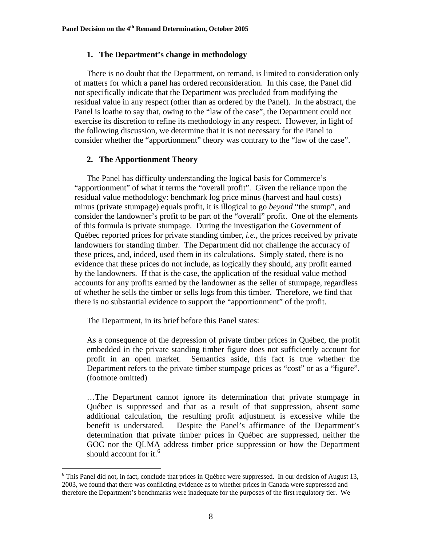#### **1. The Department's change in methodology**

There is no doubt that the Department, on remand, is limited to consideration only of matters for which a panel has ordered reconsideration. In this case, the Panel did not specifically indicate that the Department was precluded from modifying the residual value in any respect (other than as ordered by the Panel). In the abstract, the Panel is loathe to say that, owing to the "law of the case", the Department could not exercise its discretion to refine its methodology in any respect. However, in light of the following discussion, we determine that it is not necessary for the Panel to consider whether the "apportionment" theory was contrary to the "law of the case".

### **2. The Apportionment Theory**

The Panel has difficulty understanding the logical basis for Commerce's "apportionment" of what it terms the "overall profit". Given the reliance upon the residual value methodology: benchmark log price minus (harvest and haul costs) minus (private stumpage) equals profit, it is illogical to go *beyond* "the stump", and consider the landowner's profit to be part of the "overall" profit. One of the elements of this formula is private stumpage. During the investigation the Government of Québec reported prices for private standing timber, *i.e.,* the prices received by private landowners for standing timber. The Department did not challenge the accuracy of these prices, and, indeed, used them in its calculations. Simply stated, there is no evidence that these prices do not include, as logically they should, any profit earned by the landowners. If that is the case, the application of the residual value method accounts for any profits earned by the landowner as the seller of stumpage, regardless of whether he sells the timber or sells logs from this timber. Therefore, we find that there is no substantial evidence to support the "apportionment" of the profit.

The Department, in its brief before this Panel states:

 $\overline{a}$ 

As a consequence of the depression of private timber prices in Québec, the profit embedded in the private standing timber figure does not sufficiently account for profit in an open market. Semantics aside, this fact is true whether the Department refers to the private timber stumpage prices as "cost" or as a "figure". (footnote omitted)

…The Department cannot ignore its determination that private stumpage in Québec is suppressed and that as a result of that suppression, absent some additional calculation, the resulting profit adjustment is excessive while the benefit is understated. Despite the Panel's affirmance of the Department's determination that private timber prices in Québec are suppressed, neither the GOC nor the QLMA address timber price suppression or how the Department should account for it.<sup>[6](#page-7-0)</sup>

<span id="page-7-0"></span><sup>&</sup>lt;sup>6</sup> This Panel did not, in fact, conclude that prices in Québec were suppressed. In our decision of August 13, 2003, we found that there was conflicting evidence as to whether prices in Canada were suppressed and therefore the Department's benchmarks were inadequate for the purposes of the first regulatory tier. We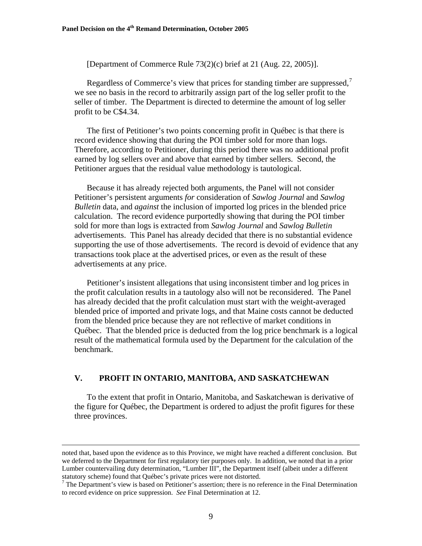[Department of Commerce Rule 73(2)(c) brief at 21 (Aug. 22, 2005)].

Regardless of Commerce's view that prices for standing timber are suppressed,<sup>[7](#page-8-0)</sup> we see no basis in the record to arbitrarily assign part of the log seller profit to the seller of timber. The Department is directed to determine the amount of log seller profit to be C\$4.34.

The first of Petitioner's two points concerning profit in Québec is that there is record evidence showing that during the POI timber sold for more than logs. Therefore, according to Petitioner, during this period there was no additional profit earned by log sellers over and above that earned by timber sellers. Second, the Petitioner argues that the residual value methodology is tautological.

Because it has already rejected both arguments, the Panel will not consider Petitioner's persistent arguments *for* consideration of *Sawlog Journal* and *Sawlog Bulletin* data, and *against* the inclusion of imported log prices in the blended price calculation. The record evidence purportedly showing that during the POI timber sold for more than logs is extracted from *Sawlog Journal* and *Sawlog Bulletin* advertisements. This Panel has already decided that there is no substantial evidence supporting the use of those advertisements. The record is devoid of evidence that any transactions took place at the advertised prices, or even as the result of these advertisements at any price.

Petitioner's insistent allegations that using inconsistent timber and log prices in the profit calculation results in a tautology also will not be reconsidered. The Panel has already decided that the profit calculation must start with the weight-averaged blended price of imported and private logs, and that Maine costs cannot be deducted from the blended price because they are not reflective of market conditions in Québec. That the blended price is deducted from the log price benchmark is a logical result of the mathematical formula used by the Department for the calculation of the benchmark.

### **V. PROFIT IN ONTARIO, MANITOBA, AND SASKATCHEWAN**

To the extent that profit in Ontario, Manitoba, and Saskatchewan is derivative of the figure for Québec, the Department is ordered to adjust the profit figures for these three provinces.

noted that, based upon the evidence as to this Province, we might have reached a different conclusion. But we deferred to the Department for first regulatory tier purposes only. In addition, we noted that in a prior Lumber countervailing duty determination, "Lumber III", the Department itself (albeit under a different statutory scheme) found that Québec's private prices were not distorted.

<span id="page-8-0"></span><sup>&</sup>lt;sup>7</sup> The Department's view is based on Petitioner's assertion; there is no reference in the Final Determination to record evidence on price suppression. *See* Final Determination at 12.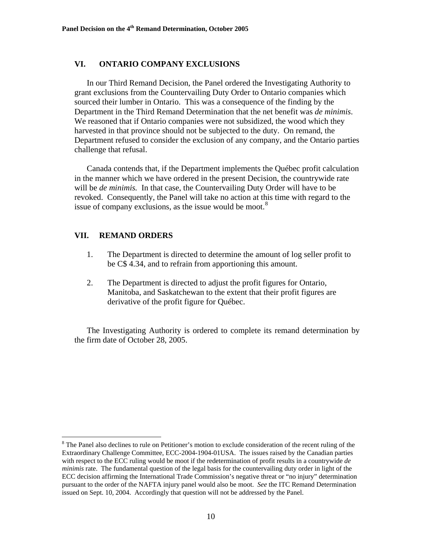# **VI. ONTARIO COMPANY EXCLUSIONS**

In our Third Remand Decision, the Panel ordered the Investigating Authority to grant exclusions from the Countervailing Duty Order to Ontario companies which sourced their lumber in Ontario. This was a consequence of the finding by the Department in the Third Remand Determination that the net benefit was *de minimis*. We reasoned that if Ontario companies were not subsidized, the wood which they harvested in that province should not be subjected to the duty. On remand, the Department refused to consider the exclusion of any company, and the Ontario parties challenge that refusal.

Canada contends that, if the Department implements the Québec profit calculation in the manner which we have ordered in the present Decision, the countrywide rate will be *de minimis.* In that case, the Countervailing Duty Order will have to be revoked. Consequently, the Panel will take no action at this time with regard to the issue of company exclusions, as the issue would be moot. $8$ 

# **VII. REMAND ORDERS**

 $\overline{a}$ 

- 1. The Department is directed to determine the amount of log seller profit to be C\$ 4.34, and to refrain from apportioning this amount.
- 2. The Department is directed to adjust the profit figures for Ontario, Manitoba, and Saskatchewan to the extent that their profit figures are derivative of the profit figure for Québec.

The Investigating Authority is ordered to complete its remand determination by the firm date of October 28, 2005.

<span id="page-9-0"></span><sup>&</sup>lt;sup>8</sup> The Panel also declines to rule on Petitioner's motion to exclude consideration of the recent ruling of the Extraordinary Challenge Committee, ECC-2004-1904-01USA. The issues raised by the Canadian parties with respect to the ECC ruling would be moot if the redetermination of profit results in a countrywide *de minimis* rate. The fundamental question of the legal basis for the countervailing duty order in light of the ECC decision affirming the International Trade Commission's negative threat or "no injury" determination pursuant to the order of the NAFTA injury panel would also be moot. *See* the ITC Remand Determination issued on Sept. 10, 2004. Accordingly that question will not be addressed by the Panel.